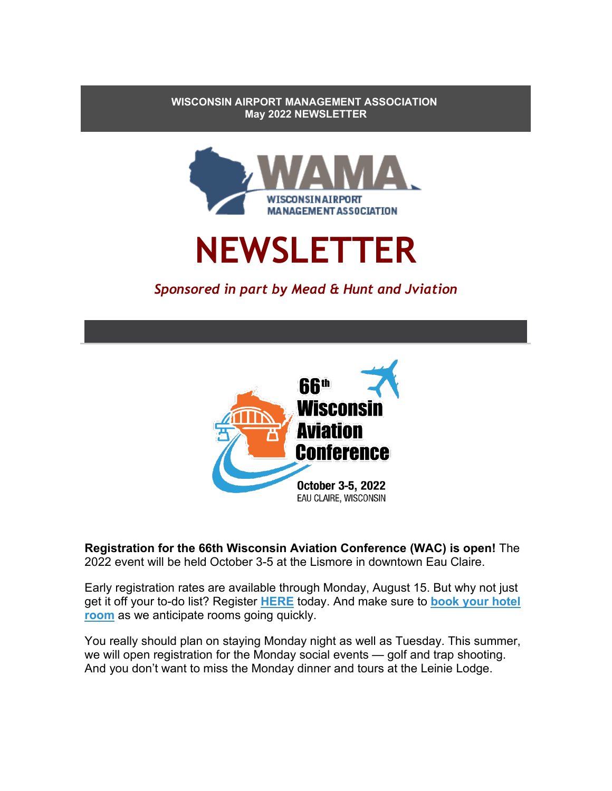**WISCONSIN AIRPORT MANAGEMENT ASSOCIATION May 2022 NEWSLETTER**



# **NEWSLETTER**

# *Sponsored in part by Mead & Hunt and Jviation*



**Registration for the 66th Wisconsin Aviation Conference (WAC) is open!** The 2022 event will be held October 3-5 at the Lismore in downtown Eau Claire.

Early registration rates are available through Monday, August 15. But why not just get it off your to-do list? Register **[HERE](https://nam10.safelinks.protection.outlook.com/?url=https%3A%2F%2Fwiama.org%2FEmailTracker%2FLinkTracker.ashx%3FlinkAndRecipientCode%3DhDzwHdvoWhsvNstStz1ur5HV2F8KZdtImrgmZL9Sd%252bzOTH4ar3IstLgrk7TUmEPdAQ4FCZ04ZLUbGYv%252fyjrFsaNpVT7k1SbWWGgiWTWWVKU%253d&data=05%7C01%7Cdebby.jackson%40tdawisconsin.org%7Ccb909728f539495826a808da3384d1e7%7Cae1001698e014bb0a191152e56cc2932%7C0%7C1%7C637878942814366252%7CUnknown%7CTWFpbGZsb3d8eyJWIjoiMC4wLjAwMDAiLCJQIjoiV2luMzIiLCJBTiI6Ik1haWwiLCJXVCI6Mn0%3D%7C3000%7C%7C%7C&sdata=PRBtocFECN%2BwvDzpN%2BX%2FpgvvugKcUsyY7nrjvyMDfCU%3D&reserved=0)** today. And make sure to **book [your hotel](https://nam10.safelinks.protection.outlook.com/?url=https%3A%2F%2Fwiama.org%2FEmailTracker%2FLinkTracker.ashx%3FlinkAndRecipientCode%3DsCts44V%252bAgUAFtsJZx1L%252fBo4DY%252f%252bndLTwBRgtiBXgLn%252f2vQC6z1sOmV4ARMwTBmQoLhp1WOOmNT37Siof7XBQVZ44iICjs91E%252bcYsdAzrtc%253d&data=05%7C01%7Cdebby.jackson%40tdawisconsin.org%7Ccb909728f539495826a808da3384d1e7%7Cae1001698e014bb0a191152e56cc2932%7C0%7C1%7C637878942814366252%7CUnknown%7CTWFpbGZsb3d8eyJWIjoiMC4wLjAwMDAiLCJQIjoiV2luMzIiLCJBTiI6Ik1haWwiLCJXVCI6Mn0%3D%7C3000%7C%7C%7C&sdata=mKkbTByheDcW0%2Bc4ugvXk4Lrw8ZSgT%2BdqOtyGtM%2BsbM%3D&reserved=0)  [room](https://nam10.safelinks.protection.outlook.com/?url=https%3A%2F%2Fwiama.org%2FEmailTracker%2FLinkTracker.ashx%3FlinkAndRecipientCode%3DsCts44V%252bAgUAFtsJZx1L%252fBo4DY%252f%252bndLTwBRgtiBXgLn%252f2vQC6z1sOmV4ARMwTBmQoLhp1WOOmNT37Siof7XBQVZ44iICjs91E%252bcYsdAzrtc%253d&data=05%7C01%7Cdebby.jackson%40tdawisconsin.org%7Ccb909728f539495826a808da3384d1e7%7Cae1001698e014bb0a191152e56cc2932%7C0%7C1%7C637878942814366252%7CUnknown%7CTWFpbGZsb3d8eyJWIjoiMC4wLjAwMDAiLCJQIjoiV2luMzIiLCJBTiI6Ik1haWwiLCJXVCI6Mn0%3D%7C3000%7C%7C%7C&sdata=mKkbTByheDcW0%2Bc4ugvXk4Lrw8ZSgT%2BdqOtyGtM%2BsbM%3D&reserved=0)** as we anticipate rooms going quickly.

You really should plan on staying Monday night as well as Tuesday. This summer, we will open registration for the Monday social events — golf and trap shooting. And you don't want to miss the Monday dinner and tours at the Leinie Lodge.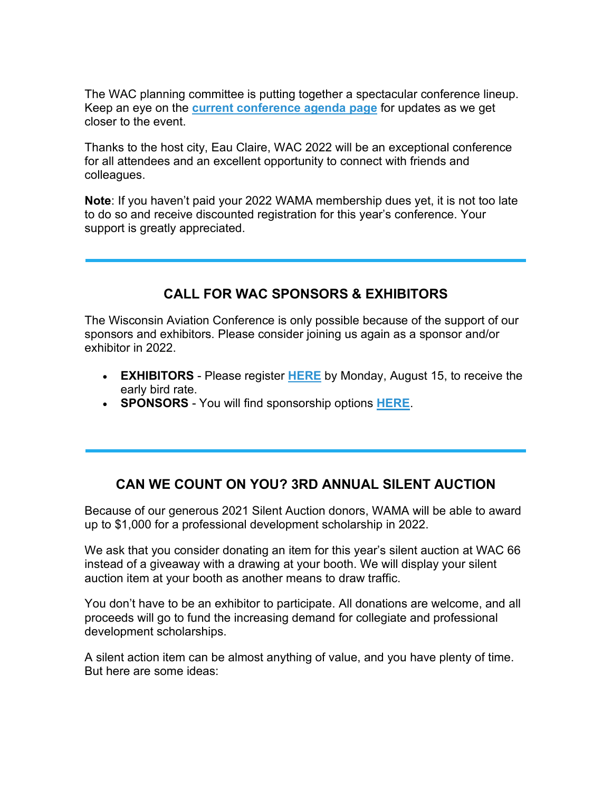The WAC planning committee is putting together a spectacular conference lineup. Keep an eye on the **[current conference agenda page](https://nam10.safelinks.protection.outlook.com/?url=https%3A%2F%2Fwiama.org%2FEmailTracker%2FLinkTracker.ashx%3FlinkAndRecipientCode%3D4m%252f3bRsgXcviNET3uVcf1tpm6rlwTvweC4uTfsiNvi0Htr6VxGvcniIWDsV5fQtMqILjZhokqNqZHCaIhhtjZh%252fApL7QcFqah0arX6qnwm0%253d&data=05%7C01%7Cdebby.jackson%40tdawisconsin.org%7Ccb909728f539495826a808da3384d1e7%7Cae1001698e014bb0a191152e56cc2932%7C0%7C1%7C637878942814366252%7CUnknown%7CTWFpbGZsb3d8eyJWIjoiMC4wLjAwMDAiLCJQIjoiV2luMzIiLCJBTiI6Ik1haWwiLCJXVCI6Mn0%3D%7C3000%7C%7C%7C&sdata=3KJkuIyvvRsIjVr%2Fbx1xsDorwQdviidkPomoYvUc1uI%3D&reserved=0)** for updates as we get closer to the event.

Thanks to the host city, Eau Claire, WAC 2022 will be an exceptional conference for all attendees and an excellent opportunity to connect with friends and colleagues.

**Note**: If you haven't paid your 2022 WAMA membership dues yet, it is not too late to do so and receive discounted registration for this year's conference. Your support is greatly appreciated.

#### **CALL FOR WAC SPONSORS & EXHIBITORS**

The Wisconsin Aviation Conference is only possible because of the support of our sponsors and exhibitors. Please consider joining us again as a sponsor and/or exhibitor in 2022.

- **EXHIBITORS** Please register **[HERE](https://nam10.safelinks.protection.outlook.com/?url=https%3A%2F%2Fwiama.org%2FEmailTracker%2FLinkTracker.ashx%3FlinkAndRecipientCode%3DDSIPAg0qgS5Ivn3DV1xSTeD2ZuVT%252fpI%252fFP5JL5bh0aJWc%252fyD3yaHZPzzqTLFOr%252b5TL7pbU2a86M3YjXDmt4GWisPrAAw2Q2GfXM%252f9iAnndg%253d&data=05%7C01%7Cdebby.jackson%40tdawisconsin.org%7Ccb909728f539495826a808da3384d1e7%7Cae1001698e014bb0a191152e56cc2932%7C0%7C1%7C637878942814366252%7CUnknown%7CTWFpbGZsb3d8eyJWIjoiMC4wLjAwMDAiLCJQIjoiV2luMzIiLCJBTiI6Ik1haWwiLCJXVCI6Mn0%3D%7C3000%7C%7C%7C&sdata=5rs8VR%2FdYI64S0R8%2BYedmnWLFDsYVcr3n0Ytlg5PFkM%3D&reserved=0)** by Monday, August 15, to receive the early bird rate.
- **SPONSORS** You will find sponsorship options **[HERE](https://nam10.safelinks.protection.outlook.com/?url=https%3A%2F%2Fwiama.org%2FEmailTracker%2FLinkTracker.ashx%3FlinkAndRecipientCode%3D5zrnwd03IAhK2oUQjVTW07U%252br9ovb2XUWRynYN3bMfQhyujAJKfEYM4Edas5f9hhMLtAjHOpZDONjirf5KkaJNWp8QBki2s0oL1iNLp5HF0%253d&data=05%7C01%7Cdebby.jackson%40tdawisconsin.org%7Ccb909728f539495826a808da3384d1e7%7Cae1001698e014bb0a191152e56cc2932%7C0%7C1%7C637878942814366252%7CUnknown%7CTWFpbGZsb3d8eyJWIjoiMC4wLjAwMDAiLCJQIjoiV2luMzIiLCJBTiI6Ik1haWwiLCJXVCI6Mn0%3D%7C3000%7C%7C%7C&sdata=60NocpUEecxM%2BrOF%2BRD0FcIgGb56Ud4q79Efys0pqBI%3D&reserved=0)**.

## **CAN WE COUNT ON YOU? 3RD ANNUAL SILENT AUCTION**

Because of our generous 2021 Silent Auction donors, WAMA will be able to award up to \$1,000 for a professional development scholarship in 2022.

We ask that you consider donating an item for this year's silent auction at WAC 66 instead of a giveaway with a drawing at your booth. We will display your silent auction item at your booth as another means to draw traffic.

You don't have to be an exhibitor to participate. All donations are welcome, and all proceeds will go to fund the increasing demand for collegiate and professional development scholarships.

A silent action item can be almost anything of value, and you have plenty of time. But here are some ideas: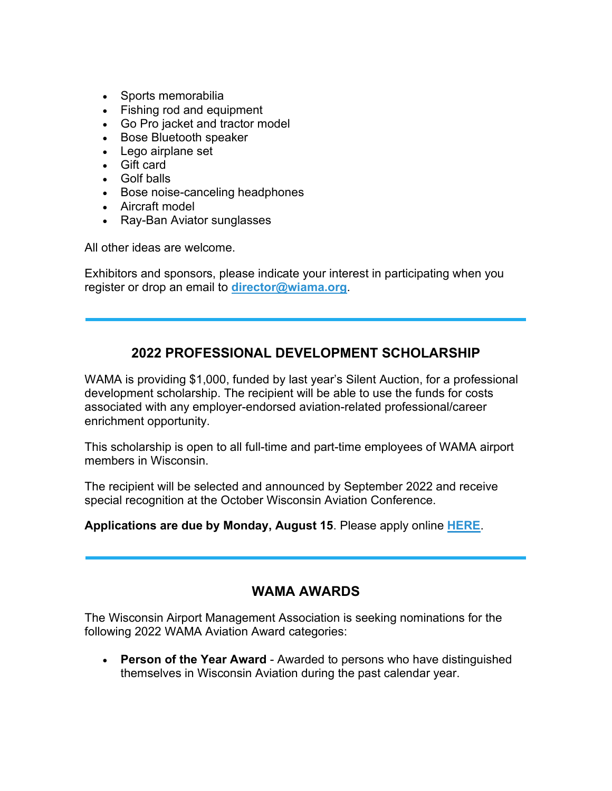- Sports memorabilia
- Fishing rod and equipment
- Go Pro jacket and tractor model
- Bose Bluetooth speaker
- Lego airplane set
- Gift card
- Golf balls
- Bose noise-canceling headphones
- Aircraft model
- Ray-Ban Aviator sunglasses

All other ideas are welcome.

Exhibitors and sponsors, please indicate your interest in participating when you register or drop an email to **[director@wiama.org](mailto:director@wiama.org)**.

## **2022 PROFESSIONAL DEVELOPMENT SCHOLARSHIP**

WAMA is providing \$1,000, funded by last year's Silent Auction, for a professional development scholarship. The recipient will be able to use the funds for costs associated with any employer-endorsed aviation-related professional/career enrichment opportunity.

This scholarship is open to all full-time and part-time employees of WAMA airport members in Wisconsin.

The recipient will be selected and announced by September 2022 and receive special recognition at the October Wisconsin Aviation Conference.

**Applications are due by Monday, August 15**. Please apply online **[HERE](https://nam10.safelinks.protection.outlook.com/?url=https%3A%2F%2Fwiama.org%2FEmailTracker%2FLinkTracker.ashx%3FlinkAndRecipientCode%3D5MfD%252fS0KqXTUcqVWgierMGoZvbQyFN%252b29eJfqqVcr68L5SYIARMA5bC2KTPpw6Bu765Shmi9HGKTDweN2JHdqhaLvA0pPG%252b3a6jYyb1iaAo%253d&data=05%7C01%7Cdebby.jackson%40tdawisconsin.org%7Ccb909728f539495826a808da3384d1e7%7Cae1001698e014bb0a191152e56cc2932%7C0%7C1%7C637878942814366252%7CUnknown%7CTWFpbGZsb3d8eyJWIjoiMC4wLjAwMDAiLCJQIjoiV2luMzIiLCJBTiI6Ik1haWwiLCJXVCI6Mn0%3D%7C3000%7C%7C%7C&sdata=qpIzhjOyP6SRLByNfE0V6c%2BwtQNYEy%2BXoqXmOdPdOhA%3D&reserved=0)**.

#### **WAMA AWARDS**

The Wisconsin Airport Management Association is seeking nominations for the following 2022 WAMA Aviation Award categories:

• **Person of the Year Award** - Awarded to persons who have distinguished themselves in Wisconsin Aviation during the past calendar year.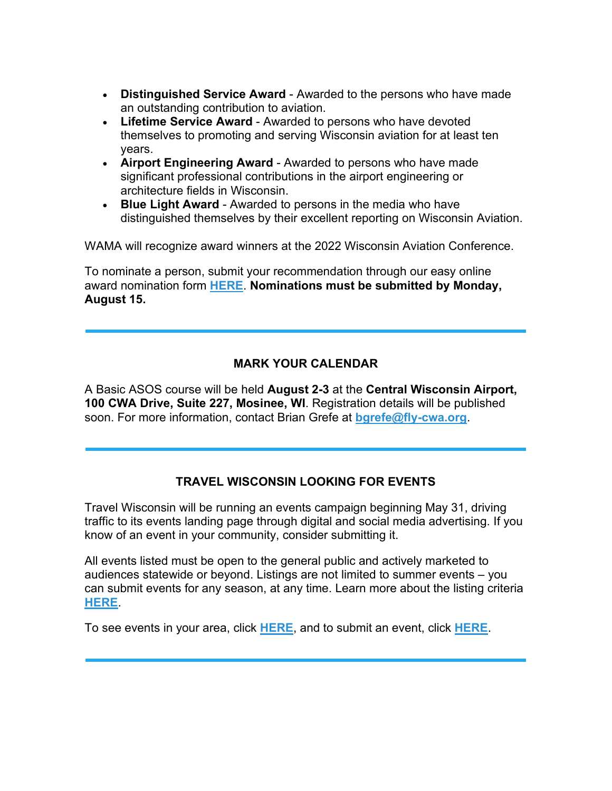- **Distinguished Service Award** Awarded to the persons who have made an outstanding contribution to aviation.
- **Lifetime Service Award** Awarded to persons who have devoted themselves to promoting and serving Wisconsin aviation for at least ten years.
- **Airport Engineering Award** Awarded to persons who have made significant professional contributions in the airport engineering or architecture fields in Wisconsin.
- **Blue Light Award** Awarded to persons in the media who have distinguished themselves by their excellent reporting on Wisconsin Aviation.

WAMA will recognize award winners at the 2022 Wisconsin Aviation Conference.

To nominate a person, submit your recommendation through our easy online award nomination form **[HERE](https://nam10.safelinks.protection.outlook.com/?url=https%3A%2F%2Fwiama.org%2FEmailTracker%2FLinkTracker.ashx%3FlinkAndRecipientCode%3D6RDsICotR%252faDC%252fJtp3DJ%252f%252fQdnRjifLBf5%252fzQrxa5P5gQbw%252f8ibdAUt1HftH%252f%252bcdePUBvxtYI8MmC1ubLgxwkCNLcLz7%252fW8aBQZW1TVGpuQ8%253d&data=05%7C01%7Cdebby.jackson%40tdawisconsin.org%7Ccb909728f539495826a808da3384d1e7%7Cae1001698e014bb0a191152e56cc2932%7C0%7C1%7C637878942814366252%7CUnknown%7CTWFpbGZsb3d8eyJWIjoiMC4wLjAwMDAiLCJQIjoiV2luMzIiLCJBTiI6Ik1haWwiLCJXVCI6Mn0%3D%7C3000%7C%7C%7C&sdata=JIxbpL4GxWvssUwHDeo3Q%2BiaexZQMsp6ISvsisQVnME%3D&reserved=0)**. **Nominations must be submitted by Monday, August 15.**

#### **MARK YOUR CALENDAR**

A Basic ASOS course will be held **August 2-3** at the **Central Wisconsin Airport, 100 CWA Drive, Suite 227, Mosinee, WI**. Registration details will be published soon. For more information, contact Brian Grefe at **[bgrefe@fly-cwa.org](mailto:bgrefe@fly-cwa.org)**.

#### **TRAVEL WISCONSIN LOOKING FOR EVENTS**

Travel Wisconsin will be running an events campaign beginning May 31, driving traffic to its events landing page through digital and social media advertising. If you know of an event in your community, consider submitting it.

All events listed must be open to the general public and actively marketed to audiences statewide or beyond. Listings are not limited to summer events – you can submit events for any season, at any time. Learn more about the listing criteria **[HERE](https://nam10.safelinks.protection.outlook.com/?url=https%3A%2F%2Fwiama.org%2FEmailTracker%2FLinkTracker.ashx%3FlinkAndRecipientCode%3DV6xJLnN3tH7ykxFyz6GZauC8GAW46v5bNo3sCYR4q23YYanZEMCaHYF5sghPOLwnfRyTFKBnyywkOFAjsfMXB6vK5lhhk850GTs4zd6Yr2M%253d&data=05%7C01%7Cdebby.jackson%40tdawisconsin.org%7Ccb909728f539495826a808da3384d1e7%7Cae1001698e014bb0a191152e56cc2932%7C0%7C1%7C637878942814366252%7CUnknown%7CTWFpbGZsb3d8eyJWIjoiMC4wLjAwMDAiLCJQIjoiV2luMzIiLCJBTiI6Ik1haWwiLCJXVCI6Mn0%3D%7C3000%7C%7C%7C&sdata=KH8cVboymMEIXe96%2BytcpjUVfdkRjW2QnArHopUjZ2g%3D&reserved=0)**.

To see events in your area, click **[HERE](https://nam10.safelinks.protection.outlook.com/?url=https%3A%2F%2Fwiama.org%2FEmailTracker%2FLinkTracker.ashx%3FlinkAndRecipientCode%3DJnq0i5HvHzfgsQUoSOd8b0w4I1Pf2wBUYL2Vm94dROHvDSOBHmt57f0BD4W8DgF7zb%252bBkOSlzbhrOEb4EPnh83yzFNHmZHyBNnU9lMzzESY%253d&data=05%7C01%7Cdebby.jackson%40tdawisconsin.org%7Ccb909728f539495826a808da3384d1e7%7Cae1001698e014bb0a191152e56cc2932%7C0%7C1%7C637878942814366252%7CUnknown%7CTWFpbGZsb3d8eyJWIjoiMC4wLjAwMDAiLCJQIjoiV2luMzIiLCJBTiI6Ik1haWwiLCJXVCI6Mn0%3D%7C3000%7C%7C%7C&sdata=Rn%2FpBmib8B22JjxL6abaz%2FAi7bO0umhfZXMX5w7mH8w%3D&reserved=0)**, and to submit an event, click **[HERE](https://nam10.safelinks.protection.outlook.com/?url=https%3A%2F%2Fwiama.org%2FEmailTracker%2FLinkTracker.ashx%3FlinkAndRecipientCode%3D83uzFhSxCYqXyxwO65qtfaZynvy8HUtQlAOdjQc0duKgHObS0O4U2qjJpqQxykGJZi3hf1UTZbFd9jTnZw%252bQ6sGBJyJxdYefF5oLWYRZUgA%253d&data=05%7C01%7Cdebby.jackson%40tdawisconsin.org%7Ccb909728f539495826a808da3384d1e7%7Cae1001698e014bb0a191152e56cc2932%7C0%7C1%7C637878942814366252%7CUnknown%7CTWFpbGZsb3d8eyJWIjoiMC4wLjAwMDAiLCJQIjoiV2luMzIiLCJBTiI6Ik1haWwiLCJXVCI6Mn0%3D%7C3000%7C%7C%7C&sdata=7TA58ingkl75Fm5e%2BH3XjkqGGdsmk%2BSqgKYZCfOX3Rg%3D&reserved=0)**.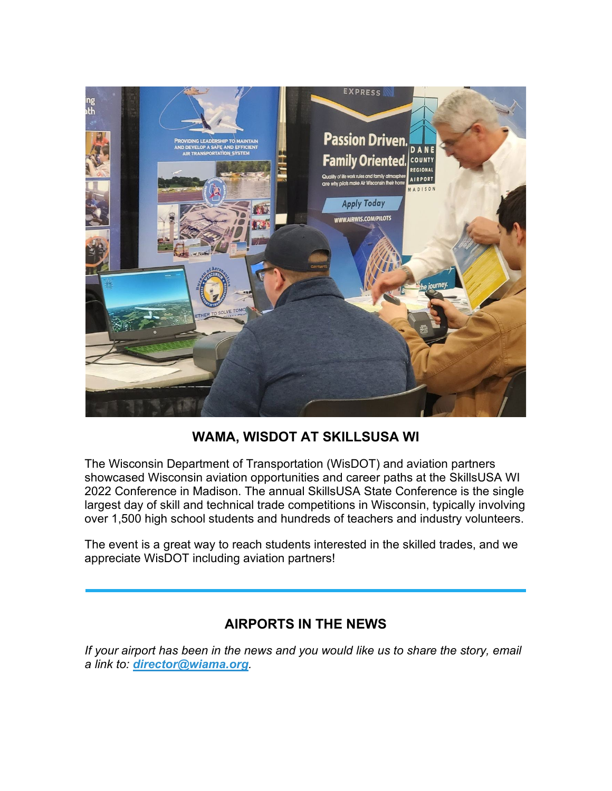

# **WAMA, WISDOT AT SKILLSUSA WI**

The Wisconsin Department of Transportation (WisDOT) and aviation partners showcased Wisconsin aviation opportunities and career paths at the SkillsUSA WI 2022 Conference in Madison. The annual SkillsUSA State Conference is the single largest day of skill and technical trade competitions in Wisconsin, typically involving over 1,500 high school students and hundreds of teachers and industry volunteers.

The event is a great way to reach students interested in the skilled trades, and we appreciate WisDOT including aviation partners!

## **AIRPORTS IN THE NEWS**

*If your airport has been in the news and you would like us to share the story, email a link to: [director@wiama.org](mailto:director@wiama.org).*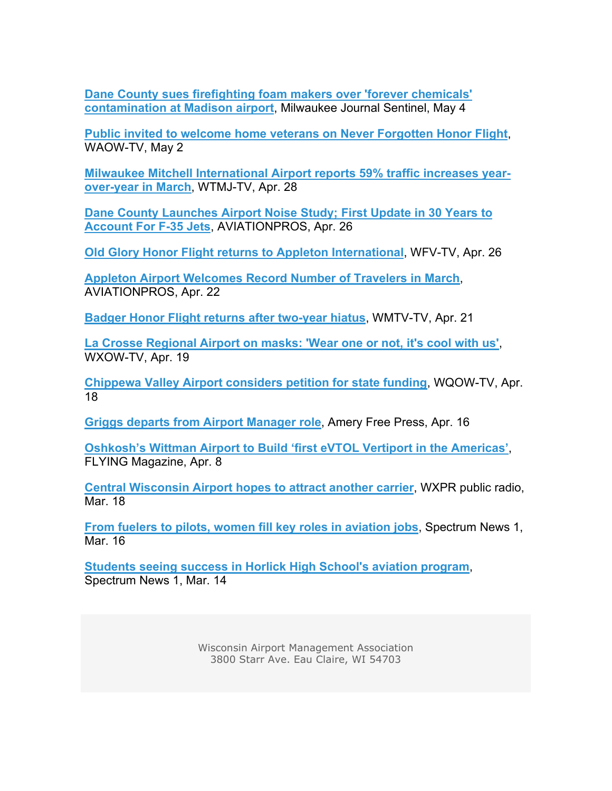**[Dane County sues firefighting foam makers over 'forever chemicals'](https://nam10.safelinks.protection.outlook.com/?url=https%3A%2F%2Fwiama.org%2FEmailTracker%2FLinkTracker.ashx%3FlinkAndRecipientCode%3DilegSQffsyhDn0k4zA9dS1MU%252b9psNwBdorS%252bLoArWIRl9uhCtIWDc%252bs2%252fXBcgX2dFnnr3gYPqSupmYJ6hiWnU5L3EG6j%252b65PAriHMI3e%252bKE%253d&data=05%7C01%7Cdebby.jackson%40tdawisconsin.org%7Ccb909728f539495826a808da3384d1e7%7Cae1001698e014bb0a191152e56cc2932%7C0%7C1%7C637878942814366252%7CUnknown%7CTWFpbGZsb3d8eyJWIjoiMC4wLjAwMDAiLCJQIjoiV2luMzIiLCJBTiI6Ik1haWwiLCJXVCI6Mn0%3D%7C3000%7C%7C%7C&sdata=miKGxiHgygACddTVymbe8%2BBSOmF5V95AEHL7JompND0%3D&reserved=0)  [contamination at Madison airport](https://nam10.safelinks.protection.outlook.com/?url=https%3A%2F%2Fwiama.org%2FEmailTracker%2FLinkTracker.ashx%3FlinkAndRecipientCode%3DilegSQffsyhDn0k4zA9dS1MU%252b9psNwBdorS%252bLoArWIRl9uhCtIWDc%252bs2%252fXBcgX2dFnnr3gYPqSupmYJ6hiWnU5L3EG6j%252b65PAriHMI3e%252bKE%253d&data=05%7C01%7Cdebby.jackson%40tdawisconsin.org%7Ccb909728f539495826a808da3384d1e7%7Cae1001698e014bb0a191152e56cc2932%7C0%7C1%7C637878942814366252%7CUnknown%7CTWFpbGZsb3d8eyJWIjoiMC4wLjAwMDAiLCJQIjoiV2luMzIiLCJBTiI6Ik1haWwiLCJXVCI6Mn0%3D%7C3000%7C%7C%7C&sdata=miKGxiHgygACddTVymbe8%2BBSOmF5V95AEHL7JompND0%3D&reserved=0)**, Milwaukee Journal Sentinel, May 4

**[Public invited to welcome home veterans on Never Forgotten Honor Flight](https://nam10.safelinks.protection.outlook.com/?url=https%3A%2F%2Fwiama.org%2FEmailTracker%2FLinkTracker.ashx%3FlinkAndRecipientCode%3DnWeTVidTBaoI1LVfV1%252bbNK1XD3Q7yzQiPYnzHsqwnB1lvKojSq2rmqN7qg4s9mnKYzNlv5jJgCzK35jVUW0YId1jcqWL7r1qpLfn6aVOKa4%253d&data=05%7C01%7Cdebby.jackson%40tdawisconsin.org%7Ccb909728f539495826a808da3384d1e7%7Cae1001698e014bb0a191152e56cc2932%7C0%7C1%7C637878942814366252%7CUnknown%7CTWFpbGZsb3d8eyJWIjoiMC4wLjAwMDAiLCJQIjoiV2luMzIiLCJBTiI6Ik1haWwiLCJXVCI6Mn0%3D%7C3000%7C%7C%7C&sdata=raRjcxoOzz3OhQXi8rdKKUpQ3jD7SVS4wl0ow4ju6a8%3D&reserved=0)**, WAOW-TV, May 2

**[Milwaukee Mitchell International Airport reports 59% traffic increases year](https://nam10.safelinks.protection.outlook.com/?url=https%3A%2F%2Fwiama.org%2FEmailTracker%2FLinkTracker.ashx%3FlinkAndRecipientCode%3DfA7QhVAP%252fViuQVuVZkMyaZ2kbKv9qFpBj46Crtb124BkoyfiK%252fdyCbgBaN%252bzwAbh8rW%252brVSMtA3IcqOboK72Kopji1SsiPMpvl0Y4nZtCHU%253d&data=05%7C01%7Cdebby.jackson%40tdawisconsin.org%7Ccb909728f539495826a808da3384d1e7%7Cae1001698e014bb0a191152e56cc2932%7C0%7C1%7C637878942814366252%7CUnknown%7CTWFpbGZsb3d8eyJWIjoiMC4wLjAwMDAiLCJQIjoiV2luMzIiLCJBTiI6Ik1haWwiLCJXVCI6Mn0%3D%7C3000%7C%7C%7C&sdata=dn1px%2FEIF8dO4yt89GmlI8BPBsXyMcHTMiXrjlgqv78%3D&reserved=0)[over-year in March](https://nam10.safelinks.protection.outlook.com/?url=https%3A%2F%2Fwiama.org%2FEmailTracker%2FLinkTracker.ashx%3FlinkAndRecipientCode%3DfA7QhVAP%252fViuQVuVZkMyaZ2kbKv9qFpBj46Crtb124BkoyfiK%252fdyCbgBaN%252bzwAbh8rW%252brVSMtA3IcqOboK72Kopji1SsiPMpvl0Y4nZtCHU%253d&data=05%7C01%7Cdebby.jackson%40tdawisconsin.org%7Ccb909728f539495826a808da3384d1e7%7Cae1001698e014bb0a191152e56cc2932%7C0%7C1%7C637878942814366252%7CUnknown%7CTWFpbGZsb3d8eyJWIjoiMC4wLjAwMDAiLCJQIjoiV2luMzIiLCJBTiI6Ik1haWwiLCJXVCI6Mn0%3D%7C3000%7C%7C%7C&sdata=dn1px%2FEIF8dO4yt89GmlI8BPBsXyMcHTMiXrjlgqv78%3D&reserved=0)**, WTMJ-TV, Apr. 28

**[Dane County Launches Airport Noise Study; First Update in 30 Years to](https://nam10.safelinks.protection.outlook.com/?url=https%3A%2F%2Fwiama.org%2FEmailTracker%2FLinkTracker.ashx%3FlinkAndRecipientCode%3DMGZqQpXUjfinjpFLJGpYmfaqYj2bz%252fY1GGN4mj2xudD4nN6CT6KSJJXske8dATTy4DCkiRCyskQPpW5VfJlOr%252b0t8Qh%252bn7E0vj3fCqYCQrM%253d&data=05%7C01%7Cdebby.jackson%40tdawisconsin.org%7Ccb909728f539495826a808da3384d1e7%7Cae1001698e014bb0a191152e56cc2932%7C0%7C1%7C637878942814366252%7CUnknown%7CTWFpbGZsb3d8eyJWIjoiMC4wLjAwMDAiLCJQIjoiV2luMzIiLCJBTiI6Ik1haWwiLCJXVCI6Mn0%3D%7C3000%7C%7C%7C&sdata=RUquZD4S5jCC695PKUpw3WsaD%2FAdN2h9nNHG65UGFzo%3D&reserved=0)  [Account For F-35 Jets](https://nam10.safelinks.protection.outlook.com/?url=https%3A%2F%2Fwiama.org%2FEmailTracker%2FLinkTracker.ashx%3FlinkAndRecipientCode%3DMGZqQpXUjfinjpFLJGpYmfaqYj2bz%252fY1GGN4mj2xudD4nN6CT6KSJJXske8dATTy4DCkiRCyskQPpW5VfJlOr%252b0t8Qh%252bn7E0vj3fCqYCQrM%253d&data=05%7C01%7Cdebby.jackson%40tdawisconsin.org%7Ccb909728f539495826a808da3384d1e7%7Cae1001698e014bb0a191152e56cc2932%7C0%7C1%7C637878942814366252%7CUnknown%7CTWFpbGZsb3d8eyJWIjoiMC4wLjAwMDAiLCJQIjoiV2luMzIiLCJBTiI6Ik1haWwiLCJXVCI6Mn0%3D%7C3000%7C%7C%7C&sdata=RUquZD4S5jCC695PKUpw3WsaD%2FAdN2h9nNHG65UGFzo%3D&reserved=0)**, AVIATIONPROS, Apr. 26

**[Old Glory Honor Flight returns to Appleton International](https://nam10.safelinks.protection.outlook.com/?url=https%3A%2F%2Fwiama.org%2FEmailTracker%2FLinkTracker.ashx%3FlinkAndRecipientCode%3DgLtAdIvGLJ%252f7Jj%252bvKQyzNth5yxZYNvqzYigfJ4%252fQDphIwxrsOBGr%252bMcDujZY%252b1FE9s4LLbR4VPaY5WMNYRNd8n8wxnVWgqKa%252bH237CEtIRM%253d&data=05%7C01%7Cdebby.jackson%40tdawisconsin.org%7Ccb909728f539495826a808da3384d1e7%7Cae1001698e014bb0a191152e56cc2932%7C0%7C1%7C637878942814366252%7CUnknown%7CTWFpbGZsb3d8eyJWIjoiMC4wLjAwMDAiLCJQIjoiV2luMzIiLCJBTiI6Ik1haWwiLCJXVCI6Mn0%3D%7C3000%7C%7C%7C&sdata=Tk24OoHFbM1NgiUJcpBaZulIAcyayT9PUWRrWBvB%2Bh4%3D&reserved=0)**, WFV-TV, Apr. 26

**[Appleton Airport Welcomes Record Number of Travelers in March](https://nam10.safelinks.protection.outlook.com/?url=https%3A%2F%2Fwiama.org%2FEmailTracker%2FLinkTracker.ashx%3FlinkAndRecipientCode%3D8UKXeKWhBtS6bNorwydswyMolxk8Xey8NKONOCbVEoJaXo5b4gsuYEFDkQqpdjBp9KWgj8dujvW3jjTCraTB15nZrDpJjQFsshJW2koo9dg%253d&data=05%7C01%7Cdebby.jackson%40tdawisconsin.org%7Ccb909728f539495826a808da3384d1e7%7Cae1001698e014bb0a191152e56cc2932%7C0%7C1%7C637878942814366252%7CUnknown%7CTWFpbGZsb3d8eyJWIjoiMC4wLjAwMDAiLCJQIjoiV2luMzIiLCJBTiI6Ik1haWwiLCJXVCI6Mn0%3D%7C3000%7C%7C%7C&sdata=xXWclZGDP7RVFrhqwRgXEtjQ7SyHhpUWqSj6Bv8ML4I%3D&reserved=0)**, AVIATIONPROS, Apr. 22

**Badger Honor Flight [returns after two-year hiatus](https://nam10.safelinks.protection.outlook.com/?url=https%3A%2F%2Fwiama.org%2FEmailTracker%2FLinkTracker.ashx%3FlinkAndRecipientCode%3DdrK8HctcBcAE85lVaIUnGBjrZZooaoyetPXAHh0YVbgcYW3WD9pLcgC3xsy6YhVfzrah7xBRVv8W11idgL%252bI%252fvIlFVIyWAlam8%252bOrIUaQq8%253d&data=05%7C01%7Cdebby.jackson%40tdawisconsin.org%7Ccb909728f539495826a808da3384d1e7%7Cae1001698e014bb0a191152e56cc2932%7C0%7C1%7C637878942814366252%7CUnknown%7CTWFpbGZsb3d8eyJWIjoiMC4wLjAwMDAiLCJQIjoiV2luMzIiLCJBTiI6Ik1haWwiLCJXVCI6Mn0%3D%7C3000%7C%7C%7C&sdata=XZKO1fWMZUKz5QyFM4Xt5MkWR65VKLhxR2OsMMBQ5Bg%3D&reserved=0)**, WMTV-TV, Apr. 21

**[La Crosse Regional Airport on masks: 'Wear one or not, it's cool with us'](https://nam10.safelinks.protection.outlook.com/?url=https%3A%2F%2Fwiama.org%2FEmailTracker%2FLinkTracker.ashx%3FlinkAndRecipientCode%3DuKLhownp40c54AEj%252fMUKx%252ffPoAspZXDAmuyUpc%252bv86bIG9OoYgdcLTEp8v3sAIhXu2cwoon77bwfTRhgk8AGXVcRrtLF9PiPcxTuVnh%252fGXk%253d&data=05%7C01%7Cdebby.jackson%40tdawisconsin.org%7Ccb909728f539495826a808da3384d1e7%7Cae1001698e014bb0a191152e56cc2932%7C0%7C1%7C637878942814522486%7CUnknown%7CTWFpbGZsb3d8eyJWIjoiMC4wLjAwMDAiLCJQIjoiV2luMzIiLCJBTiI6Ik1haWwiLCJXVCI6Mn0%3D%7C3000%7C%7C%7C&sdata=Uft04txM98zFbc0m2g09E2%2FPVT61asdbLLxd9IHIN2M%3D&reserved=0)**, WXOW-TV, Apr. 19

**[Chippewa Valley Airport considers petition for state funding](https://nam10.safelinks.protection.outlook.com/?url=https%3A%2F%2Fwiama.org%2FEmailTracker%2FLinkTracker.ashx%3FlinkAndRecipientCode%3DfFRCJu%252fy56gWE7F38AOQUiGlUOH%252b%252bIRz1OPq5kzY09QGQvJ9mTawOCs1oMdXcF2m2W%252b3jDv4ukFStFRCa2ya9P48KvryIUKeErQetWmpssY%253d&data=05%7C01%7Cdebby.jackson%40tdawisconsin.org%7Ccb909728f539495826a808da3384d1e7%7Cae1001698e014bb0a191152e56cc2932%7C0%7C1%7C637878942814522486%7CUnknown%7CTWFpbGZsb3d8eyJWIjoiMC4wLjAwMDAiLCJQIjoiV2luMzIiLCJBTiI6Ik1haWwiLCJXVCI6Mn0%3D%7C3000%7C%7C%7C&sdata=84IOVCYLZRskMONPfZSK4N6XUBdPy5T%2FdsB%2BdouFLJc%3D&reserved=0)**, WQOW-TV, Apr. 18

**[Griggs departs from Airport Manager role](https://nam10.safelinks.protection.outlook.com/?url=https%3A%2F%2Fwiama.org%2FEmailTracker%2FLinkTracker.ashx%3FlinkAndRecipientCode%3D52rcUEYJhZS6%252fUcL95hagVWSZPHYjerwbDAy5VqiQQS4%252brDxBrbIIAV8hjVDUpkKLmdFKJQ4PMp2ObRhXtgi4B6WGczslIY1xCOeU79SPmQ%253d&data=05%7C01%7Cdebby.jackson%40tdawisconsin.org%7Ccb909728f539495826a808da3384d1e7%7Cae1001698e014bb0a191152e56cc2932%7C0%7C1%7C637878942814522486%7CUnknown%7CTWFpbGZsb3d8eyJWIjoiMC4wLjAwMDAiLCJQIjoiV2luMzIiLCJBTiI6Ik1haWwiLCJXVCI6Mn0%3D%7C3000%7C%7C%7C&sdata=lhuSdy5D6M5fnnI8dLLldJl%2BiKQXj9Ij%2FeDb7pxgcOU%3D&reserved=0)**, Amery Free Press, Apr. 16

**[Oshkosh's Wittman Airport to Build 'first eVTOL Vertiport in the Americas'](https://nam10.safelinks.protection.outlook.com/?url=https%3A%2F%2Fwiama.org%2FEmailTracker%2FLinkTracker.ashx%3FlinkAndRecipientCode%3D1EE6Q6lfIH1YfTnTcU%252bSOEvFQuDqejlt8JcSJF3dtERN1YSeUi9vYhmxd2hDszQRt%252bGEL2OthOro61kob0Dxg9pnLND8%252bLUlIIBLTyYEI0E%253d&data=05%7C01%7Cdebby.jackson%40tdawisconsin.org%7Ccb909728f539495826a808da3384d1e7%7Cae1001698e014bb0a191152e56cc2932%7C0%7C1%7C637878942814522486%7CUnknown%7CTWFpbGZsb3d8eyJWIjoiMC4wLjAwMDAiLCJQIjoiV2luMzIiLCJBTiI6Ik1haWwiLCJXVCI6Mn0%3D%7C3000%7C%7C%7C&sdata=BHJnwf4f3PNHCENlKbDb08G2AEqloq6MfbhtFKfwCB4%3D&reserved=0)**, FLYING Magazine, Apr. 8

**[Central Wisconsin Airport hopes to attract another carrier](https://nam10.safelinks.protection.outlook.com/?url=https%3A%2F%2Fwiama.org%2FEmailTracker%2FLinkTracker.ashx%3FlinkAndRecipientCode%3D7SV9OtXj0pmcduEDk%252bPmr%252bhyBuAQdEBL7QvlB9dSuqaFu9sBORqjZYfTGWO9gD6g029jtbx%252fPDEcUpzZ89ViosdtP%252b4E98YdZYOQ2SG5Kw4%253d&data=05%7C01%7Cdebby.jackson%40tdawisconsin.org%7Ccb909728f539495826a808da3384d1e7%7Cae1001698e014bb0a191152e56cc2932%7C0%7C1%7C637878942814522486%7CUnknown%7CTWFpbGZsb3d8eyJWIjoiMC4wLjAwMDAiLCJQIjoiV2luMzIiLCJBTiI6Ik1haWwiLCJXVCI6Mn0%3D%7C3000%7C%7C%7C&sdata=cY%2BNgnwgiYFquf6DjvY9FQKgXfV%2B02BFIeeBuDtWKFw%3D&reserved=0)**, WXPR public radio, Mar. 18

**[From fuelers to pilots, women fill key roles in aviation jobs](https://nam10.safelinks.protection.outlook.com/?url=https%3A%2F%2Fwiama.org%2FEmailTracker%2FLinkTracker.ashx%3FlinkAndRecipientCode%3DaLQ0rzPMjH3yNv2Hzjoxkdw9fqYsTecas0Ah%252fWg15MDK2p0EkjRhsP59atPFgdzEm3vVz3aHXl2mB4D2TymsDEMpirQ1UJNNKT24B9ckWz0%253d&data=05%7C01%7Cdebby.jackson%40tdawisconsin.org%7Ccb909728f539495826a808da3384d1e7%7Cae1001698e014bb0a191152e56cc2932%7C0%7C1%7C637878942814522486%7CUnknown%7CTWFpbGZsb3d8eyJWIjoiMC4wLjAwMDAiLCJQIjoiV2luMzIiLCJBTiI6Ik1haWwiLCJXVCI6Mn0%3D%7C3000%7C%7C%7C&sdata=jXp6fi%2BFmFfmmdKItEmgUxYxFeRg%2Bz%2Bt%2FDv3XKi6HWM%3D&reserved=0)**, Spectrum News 1, Mar. 16

**[Students seeing success in Horlick High School's aviation program](https://nam10.safelinks.protection.outlook.com/?url=https%3A%2F%2Fwiama.org%2FEmailTracker%2FLinkTracker.ashx%3FlinkAndRecipientCode%3DfuUZTbtRRGJRUCI%252bjq8vUKwmxZFTrHsFKsvAvMX0Xs6Ov6Ubz7MEQs8oP%252fIXahwq80vYGRBYIShpHeqyZfMtBIh3gm%252bb77KI0TFlrdyQIGs%253d&data=05%7C01%7Cdebby.jackson%40tdawisconsin.org%7Ccb909728f539495826a808da3384d1e7%7Cae1001698e014bb0a191152e56cc2932%7C0%7C1%7C637878942814522486%7CUnknown%7CTWFpbGZsb3d8eyJWIjoiMC4wLjAwMDAiLCJQIjoiV2luMzIiLCJBTiI6Ik1haWwiLCJXVCI6Mn0%3D%7C3000%7C%7C%7C&sdata=qoKpHaFTlC5CeQYfL4SU4JA7y9GE7d9xdeBVqNJ%2BJ5k%3D&reserved=0)**, Spectrum News 1, Mar. 14

> Wisconsin Airport Management Association 3800 Starr Ave. Eau Claire, WI 54703